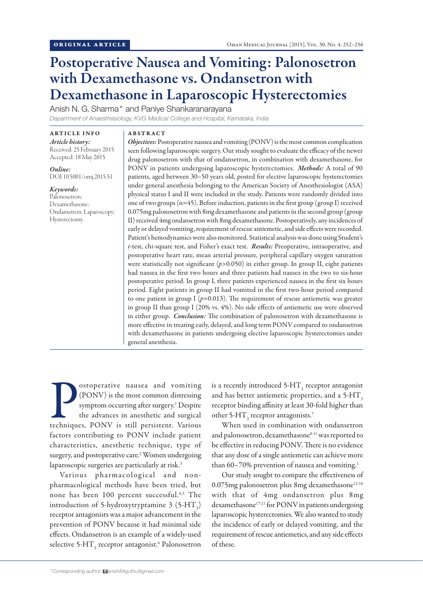# Postoperative Nausea and Vomiting: Palonosetron with Dexamethasone vs. Ondansetron with Dexamethasone in Laparoscopic Hysterectomies

Anish N. G. Sharma\* and Paniye Shankaranarayana

*Department of Anaesthesiology, KVG Medical College and Hospital, Karnataka, India*

ARTICLE INFO *Article history:*  Received: 25 February 2015 Accepted: 18 May 2015

*Online:* DOI 10.5001/omj.2015.51

*Keywords:*  Palonosetron; Dexamethasone; Ondansetron; Laparoscopy; Hysterectomy.

## ABSTRACT

*Objectives:* Postoperative nausea and vomiting (PONV) is the most common complication seen following laparoscopic surgery. Our study sought to evaluate the efficacy of the newer drug palonosetron with that of ondansetron, in combination with dexamethasone, for PONV in patients undergoing laparoscopic hysterectomies. *Methods:* A total of 90 patients, aged between 30–50 years old, posted for elective laparoscopic hysterectomies under general anesthesia belonging to the American Society of Anesthesiologist (ASA) physical status I and II were included in the study. Patients were randomly divided into one of two groups (n=45). Before induction, patients in the first group (group I) received 0.075mg palonosetron with 8mg dexamethasone and patients in the second group (group II) received 4mg ondansetron with 8mg dexamethasone. Postoperatively, any incidences of early or delayed vomiting, requirement of rescue antiemetic, and side effects were recorded. Patient's hemodynamics were also monitored. Statistical analysis was done using Student's *t*-test, chi-square test, and Fisher's exact test. *Results:* Preoperative, intraoperative, and postoperative heart rate, mean arterial pressure, peripheral capillary oxygen saturation were statistically not significant (*p*>0.050) in either group. In group II, eight patients had nausea in the first two hours and three patients had nausea in the two to six-hour postoperative period. In group I, three patients experienced nausea in the first six hours period. Eight patients in group II had vomited in the first two-hour period compared to one patient in group I  $(p=0.013)$ . The requirement of rescue antiemetic was greater in group II than group I (20% vs. 4%). No side effects of antiemetic use were observed in either group. *Conclusion:* The combination of palonosetron with dexamethasone is more effective in treating early, delayed, and long term PONV compared to ondansetron with dexamethasone in patients undergoing elective laparoscopic hysterectomies under general anesthesia.

Costoperative nausea and vomiting<br>(PONV) is the most common distressing<br>symptom occurring after surgery.<sup>1</sup> Despite<br>the advances in anesthetic and surgical<br>techniques, PONV is still persistent. Various ostoperative nausea and vomiting (PONV) is the most common distressing symptom occurring after surgery.<sup>1</sup> Despite the advances in anesthetic and surgical factors contributing to PONV include patient characteristics, anesthetic technique, type of surgery, and postoperative care.<sup>2</sup> Women undergoing laparoscopic surgeries are particularly at risk.<sup>3</sup>

Various pharmacological and nonpharmacological methods have been tried, but none has been 100 percent successful.4,5 The introduction of 5-hydroxytryptamine 3 (5-HT<sub>3</sub>) receptor antagonists was a major advancement in the prevention of PONV because it had minimal side effects. Ondansetron is an example of a widely-used selective 5-HT $_{\rm_3}$  receptor antagonist. $^{\rm 6}$  Palonosetron is a recently introduced 5-HT $_{\rm_3}$  receptor antagonist and has better antiemetic properties, and a  $5-HT<sub>3</sub>$ receptor binding affinity at least 30-fold higher than other 5-HT<sub>3</sub> receptor antagonists.<sup>7</sup>

When used in combination with ondansetron and palonosetron, dexamethasone<sup>8-11</sup> was reported to be effective in reducing PONV. There is no evidence that any dose of a single antiemetic can achieve more than 60–70% prevention of nausea and vomiting.<sup>1</sup>

Our study sought to compare the effectiveness of 0.075mg palonosetron plus 8mg dexamethasone<sup>12-16</sup> with that of 4mg ondansetron plus 8mg dexamethasone<sup>17-21</sup> for PONV in patients undergoing laparoscopic hysterectomies. We also wanted to study the incidence of early or delayed vomiting, and the requirement of rescue antiemetics, and any side effects of these.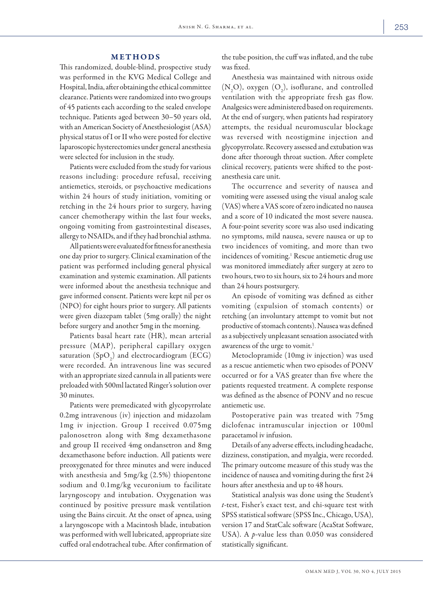## METHODS

This randomized, double-blind, prospective study was performed in the KVG Medical College and Hospital, India, after obtaining the ethical committee clearance. Patients were randomized into two groups of 45 patients each according to the sealed envelope technique. Patients aged between 30–50 years old, with an American Society of Anesthesiologist (ASA) physical status of I or II who were posted for elective laparoscopic hysterectomies under general anesthesia were selected for inclusion in the study.

Patients were excluded from the study for various reasons including: procedure refusal, receiving antiemetics, steroids, or psychoactive medications within 24 hours of study initiation, vomiting or retching in the 24 hours prior to surgery, having cancer chemotherapy within the last four weeks, ongoing vomiting from gastrointestinal diseases, allergy to NSAIDs, and if they had bronchial asthma.

All patients were evaluated for fitness for anesthesia one day prior to surgery. Clinical examination of the patient was performed including general physical examination and systemic examination. All patients were informed about the anesthesia technique and gave informed consent. Patients were kept nil per os (NPO) for eight hours prior to surgery. All patients were given diazepam tablet (5mg orally) the night before surgery and another 5mg in the morning.

Patients basal heart rate (HR), mean arterial pressure (MAP), peripheral capillary oxygen saturation  $(SpO<sub>2</sub>)$  and electrocardiogram (ECG) were recorded. An intravenous line was secured with an appropriate sized cannula in all patients were preloaded with 500ml lactated Ringer's solution over 30 minutes.

Patients were premedicated with glycopyrrolate 0.2mg intravenous (iv) injection and midazolam 1mg iv injection. Group I received 0.075mg palonosetron along with 8mg dexamethasone and group II received 4mg ondansetron and 8mg dexamethasone before induction. All patients were preoxygenated for three minutes and were induced with anesthesia and 5mg/kg (2.5%) thiopentone sodium and 0.1mg/kg vecuronium to facilitate laryngoscopy and intubation. Oxygenation was continued by positive pressure mask ventilation using the Bains circuit. At the onset of apnea, using a laryngoscope with a Macintosh blade, intubation was performed with well lubricated, appropriate size cuffed oral endotracheal tube. After confirmation of

the tube position, the cuff was inflated, and the tube was fixed.

Anesthesia was maintained with nitrous oxide  $(N_2O)$ , oxygen  $(O_2)$ , isoflurane, and controlled ventilation with the appropriate fresh gas flow. Analgesics were administered based on requirements. At the end of surgery, when patients had respiratory attempts, the residual neuromuscular blockage was reversed with neostigmine injection and glycopyrrolate. Recovery assessed and extubation was done after thorough throat suction. After complete clinical recovery, patients were shifted to the postanesthesia care unit.

The occurrence and severity of nausea and vomiting were assessed using the visual analog scale (VAS) where a VAS score of zero indicated no nausea and a score of 10 indicated the most severe nausea. A four-point severity score was also used indicating no symptoms, mild nausea, severe nausea or up to two incidences of vomiting, and more than two incidences of vomiting.<sup>1</sup> Rescue antiemetic drug use was monitored immediately after surgery at zero to two hours, two to six hours, six to 24 hours and more than 24 hours postsurgery.

An episode of vomiting was defined as either vomiting (expulsion of stomach contents) or retching (an involuntary attempt to vomit but not productive of stomach contents). Nausea was defined as a subjectively unpleasant sensation associated with awareness of the urge to vomit.<sup>1</sup>

Metoclopramide (10mg iv injection) was used as a rescue antiemetic when two episodes of PONV occurred or for a VAS greater than five where the patients requested treatment. A complete response was defined as the absence of PONV and no rescue antiemetic use.

Postoperative pain was treated with 75mg diclofenac intramuscular injection or 100ml paracetamol iv infusion.

Details of any adverse effects, including headache, dizziness, constipation, and myalgia, were recorded. The primary outcome measure of this study was the incidence of nausea and vomiting during the first 24 hours after anesthesia and up to 48 hours.

Statistical analysis was done using the Student's *t*-test, Fisher's exact test, and chi-square test with SPSS statistical software (SPSS Inc., Chicago, USA), version 17 and StatCalc software (AcaStat Software, USA). A *p-*value less than 0.050 was considered statistically significant.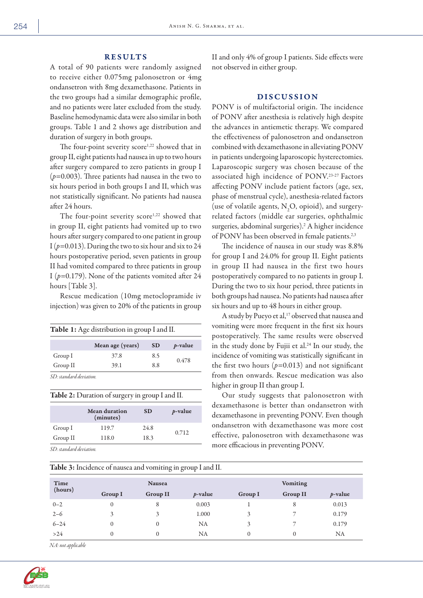## RESULTS

A total of 90 patients were randomly assigned to receive either 0.075mg palonosetron or 4mg ondansetron with 8mg dexamethasone. Patients in the two groups had a similar demographic profile, and no patients were later excluded from the study. Baseline hemodynamic data were also similar in both groups. Table 1 and 2 shows age distribution and duration of surgery in both groups.

The four-point severity score<sup>1,22</sup> showed that in group II, eight patients had nausea in up to two hours after surgery compared to zero patients in group I (*p*=0.003). Three patients had nausea in the two to six hours period in both groups I and II, which was not statistically significant. No patients had nausea after 24 hours.

The four-point severity score<sup>1,22</sup> showed that in group II, eight patients had vomited up to two hours after surgery compared to one patient in group I ( $p=0.013$ ). During the two to six hour and six to 24 hours postoperative period, seven patients in group II had vomited compared to three patients in group I (*p=*0.179). None of the patients vomited after 24 hours [Table 3].

Rescue medication (10mg metoclopramide iv injection) was given to 20% of the patients in group

| Table 1: Age distribution in group I and II. |                  |           |            |  |  |
|----------------------------------------------|------------------|-----------|------------|--|--|
|                                              | Mean age (years) | <b>SD</b> | $p$ -value |  |  |
| Group I                                      | 37.8             | 8.5       |            |  |  |
| Group II                                     | 39.1             | 8.8       | 0.478      |  |  |

| Table 2: Duration of surgery in group I and II. |  |  |
|-------------------------------------------------|--|--|
|-------------------------------------------------|--|--|

|             | Mean duration<br>(minutes) |      | $p$ -value |
|-------------|----------------------------|------|------------|
| Group I     | 119.7                      | 24.8 |            |
| Group II    | 118.0                      | 18.3 | 0.712      |
| .<br>$\sim$ |                            |      |            |

Table 3: Incidence of nausea and vomiting in group I and II.

*SD: standard deviation.*

II and only 4% of group I patients. Side effects were not observed in either group.

# DISCUSSION

PONV is of multifactorial origin. The incidence of PONV after anesthesia is relatively high despite the advances in antiemetic therapy. We compared the effectiveness of palonosetron and ondansetron combined with dexamethasone in alleviating PONV in patients undergoing laparoscopic hysterectomies. Laparoscopic surgery was chosen because of the associated high incidence of PONV.23-27 Factors affecting PONV include patient factors (age, sex, phase of menstrual cycle), anesthesia-related factors (use of volatile agents,  $N_2O$ , opioid), and surgeryrelated factors (middle ear surgeries, ophthalmic surgeries, abdominal surgeries).<sup>2</sup> A higher incidence of PONV has been observed in female patients.<sup>2,3</sup>

The incidence of nausea in our study was 8.8% for group I and 24.0% for group II. Eight patients in group II had nausea in the first two hours postoperatively compared to no patients in group I. During the two to six hour period, three patients in both groups had nausea. No patients had nausea after six hours and up to 48 hours in either group.

A study by Pueyo et al,<sup>17</sup> observed that nausea and vomiting were more frequent in the first six hours postoperatively. The same results were observed in the study done by Fujii et al.<sup>24</sup> In our study, the incidence of vomiting was statistically significant in the first two hours  $(p=0.013)$  and not significant from then onwards. Rescue medication was also higher in group II than group I.

Our study suggests that palonosetron with dexamethasone is better than ondansetron with dexamethasone in preventing PONV. Even though ondansetron with dexamethasone was more cost effective, palonosetron with dexamethasone was more efficacious in preventing PONV.

|          |                | $\tilde{}$      | $\sim$<br>. . |                 |                 |            |
|----------|----------------|-----------------|---------------|-----------------|-----------------|------------|
| Time     | <b>Nausea</b>  |                 |               | <b>Vomiting</b> |                 |            |
| (hours)  | <b>Group I</b> | <b>Group II</b> | $p$ -value    | <b>Group I</b>  | <b>Group II</b> | $p$ -value |
| $0 - 2$  | $\theta$       | 8               | 0.003         |                 | 8               | 0.013      |
| $2 - 6$  | 3              | 3               | 1.000         | 3               |                 | 0.179      |
| $6 - 24$ | $\theta$       | 0               | <b>NA</b>     | 3               |                 | 0.179      |
| >24      | $\theta$       | 0               | NA            | 0               | 0               | <b>NA</b>  |

*NA: not applicable*

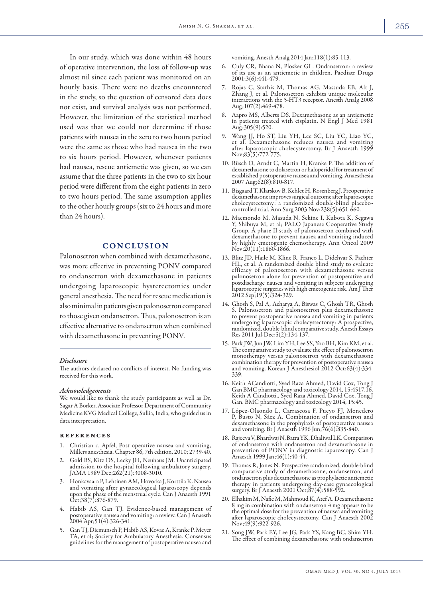In our study, which was done within 48 hours of operative intervention, the loss of follow-up was almost nil since each patient was monitored on an hourly basis. There were no deaths encountered in the study, so the question of censored data does not exist, and survival analysis was not performed. However, the limitation of the statistical method used was that we could not determine if those patients with nausea in the zero to two hours period were the same as those who had nausea in the two to six hours period. However, whenever patients had nausea, rescue antiemetic was given, so we can assume that the three patients in the two to six hour period were different from the eight patients in zero to two hours period. The same assumption applies to the other hourly groups (six to 24 hours and more than 24 hours).

# **CONCLUSION**

Palonosetron when combined with dexamethasone, was more effective in preventing PONV compared to ondansetron with dexamethasone in patients undergoing laparoscopic hysterectomies under general anesthesia. The need for rescue medication is also minimal in patients given palonosetron compared to those given ondansetron. Thus, palonosetron is an effective alternative to ondansetron when combined with dexamethasone in preventing PONV.

### *Disclosure*

The authors declared no conflicts of interest. No funding was received for this work.

#### *Acknowledgements*

We would like to thank the study participants as well as Dr. Sagar A Borker, Associate Professor Department of Community Medicine KVG Medical College, Sullia, India, who guided us in data interpretation.

#### **REFERENCES**

- Christian c. Apfel, Post operative nausea and vomiting, Millers anesthesia. Chapter 86, 7th edition, 2010; 2739-40.
- 2. Gold BS, Kitz DS, Lecky JH, Neuhaus JM. Unanticipated admission to the hospital following ambulatory surgery. JAMA 1989 Dec;262(21):3008-3010.
- 3. Honkavaara P, Lehtinen AM, Hovorka J, Korttila K. Nausea and vomiting after gynaecological laparoscopy depends upon the phase of the menstrual cycle. Can J Anaesth 1991 Oct;38(7):876-879.
- 4. Habib AS, Gan TJ. Evidence-based management of postoperative nausea and vomiting: a review. Can J Anaesth 2004 Apr;51(4):326-341.
- 5. Gan TJ, Diemunsch P, Habib AS, Kovac A, Kranke P, Meyer TA, et al; Society for Ambulatory Anesthesia. Consensus guidelines for the management of postoperative nausea and

vomiting. Anesth Analg 2014 Jan;118(1):85-113.

- 6. Culy CR, Bhana N, Plosker GL. Ondansetron: a review of its use as an antiemetic in children. Paediatr Drugs 2001;3(6):441-479.
- 7. Rojas C, Stathis M, Thomas AG, Massuda EB, Alt J, Zhang J, et al. Palonosetron exhibits unique molecular interactions with the 5-HT3 receptor. Anesth Analg 2008 Aug;107(2):469-478.
- 8. Aapro MS, Alberts DS. Dexamethasone as an antiemetic in patients treated with cisplatin. N Engl J Med 1981 Aug;305(9):520.
- 9. Wang JJ, Ho ST, Liu YH, Lee SC, Liu YC, Liao YC, et al. Dexamethasone reduces nausea and vomiting after laparoscopic cholecystectomy. Br J Anaesth 1999 Nov;83(5):772-775.
- 10. Rüsch D, Arndt C, Martin H, Kranke P. The addition of dexamethasone to dolasetron or haloperidol for treatment of established postoperative nausea and vomiting. Anaesthesia 2007 Aug;62(8):810-817.
- 11. Bisgaard T, Klarskov B, Kehlet H, Rosenberg J. Preoperative dexamethasone improves surgical outcome after laparoscopic cholecystectomy: a randomized double-blind placebocontrolled trial. Ann Surg 2003 Nov;238(5):651-660.
- 12. Maemondo M, Masuda N, Sekine I, Kubota K, Segawa Y, Shibuya M, et al; PALO Japanese Cooperative Study Group. A phase II study of palonosetron combined with dexamethasone to prevent nausea and vomiting induced by highly emetogenic chemotherapy. Ann Oncol 2009  $Nov$ ; $20(11)$ :1860-1866.
- 13. Blitz JD, Haile M, Kline R, Franco L, Didehvar S, Pachter HL, et al. A randomized double blind study to evaluate efficacy of palonosetron with dexamethasone versus palonosetron alone for prevention of postoperative and postdischarge nausea and vomiting in subjects undergoing laparoscopic surgeries with high emetogenic risk. Am J Ther 2012 Sep;19(5):324-329.
- 14. Ghosh S, Pal A, Acharya A, Biswas C, Ghosh TR, Ghosh S. Palonosetron and palonosetron plus dexamethasone to prevent postoperative nausea and vomiting in patients undergoing laparoscopic cholecystectomy: A prospective, randomized, double-blind comparative study. Anesth Essays Res 2011 Jul-Dec;5(2):134-137.
- 15. Park JW, Jun JW, Lim YH, Lee SS, Yoo BH, Kim KM, et al. The comparative study to evaluate the effect of palonosetron monotherapy versus palonosetron with dexamethasone combination therapy for prevention of postoperative nausea and vomiting. Korean J Anesthesiol 2012 Oct;63(4):334- 339.
- 16. Keith ACandiotti, Syed Raza Ahmed, David Cox, Tong J Gan BMC pharmacology and toxicology 2014, 15:4517.16. Keith A Candiotti., Syed Raza Ahmed, David Cox, Tong J Gan. BMC pharmacology and toxicology 2014, 15:45.
- 17. López-Olaondo L, Carrascosa F, Pueyo FJ, Monedero P, Busto N, Sáez A. Combination of ondansetron and dexamethasone in the prophylaxis of postoperative nausea and vomiting. Br J Anaesth 1996 Jun;76(6):835-840.
- 18. Rajeeva V, Bhardwaj N, Batra YK, Dhaliwal LK. Comparison of ondansetron with ondansetron and dexamethasone in prevention of PONV in diagnostic laparoscopy. Can J Anaesth 1999 Jan;46(1):40-44.
- 19. Thomas R, Jones N. Prospective randomized, double-blind comparative study of dexamethasone, ondansetron, and ondansetron plus dexamethasone as prophylactic antiemetic therapy in patients undergoing day-case gynaecological surgery. Br J Anaesth 2001 Oct;87(4):588-592.
- 20. Elhakim M, Nafie M, Mahmoud K, Atef A. Dexamethasone 8 mg in combination with ondansetron 4 mg appears to be the optimal dose for the prevention of nausea and vomiting after laparoscopic cholecystectomy. Can J Anaesth 2002 Nov;49(9):922-926.
- 21. Song JW, Park EY, Lee JG, Park YS, Kang BC, Shim YH. The effect of combining dexamethasone with ondansetron